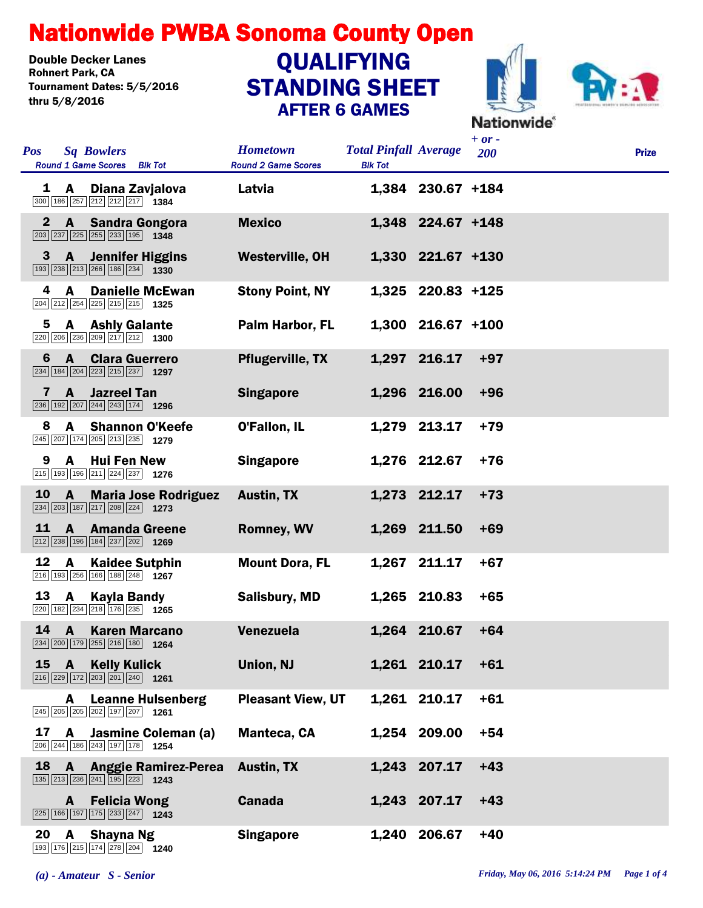## Nationwide PWBA Sonoma County Open

Double Decker Lanes<br>Rohnert Park. CA Tournament Dates: 5/5/2016 thru 5/8/2016

## STANDING SHEET AFTER 6 GAMES **QUALIFYING**



| Pos          |              | <b>Sq Bowlers</b><br><b>Round 1 Game Scores</b><br><b>Blk Tot</b>                                                          | <b>Hometown</b><br><b>Round 2 Game Scores</b> | <b>Total Pinfall Average</b><br><b>Blk Tot</b> |                     | $+ or -$<br>200 | <b>Prize</b> |
|--------------|--------------|----------------------------------------------------------------------------------------------------------------------------|-----------------------------------------------|------------------------------------------------|---------------------|-----------------|--------------|
| 1            | A            | Diana Zavjalova<br>300 186 257 212 212 217 1384                                                                            | Latvia                                        |                                                | 1,384 230.67 +184   |                 |              |
| $\mathbf{2}$ | $\mathbf{A}$ | <b>Sandra Gongora</b><br>$\boxed{203}$ $\boxed{237}$ $\boxed{225}$ $\boxed{255}$ $\boxed{233}$ $\boxed{195}$ 1348          | <b>Mexico</b>                                 |                                                | 1,348 224.67 +148   |                 |              |
| 3            | A            | <b>Jennifer Higgins</b><br>$\boxed{193}$ $\boxed{238}$ $\boxed{213}$ $\boxed{266}$ $\boxed{186}$ $\boxed{234}$ <b>1330</b> | <b>Westerville, OH</b>                        |                                                | 1,330 221.67 +130   |                 |              |
| 4            | A            | <b>Danielle McEwan</b><br>204 212 254 225 215 215 1325                                                                     | <b>Stony Point, NY</b>                        |                                                | 1,325 220.83 +125   |                 |              |
| 5            | A            | <b>Ashly Galante</b><br>220 206 236 209 217 212 1300                                                                       | Palm Harbor, FL                               |                                                | $1,300$ 216.67 +100 |                 |              |
| 6            | $\mathbf{A}$ | <b>Clara Guerrero</b><br>$\boxed{234}$ 184 204 223 215 237 1297                                                            | <b>Pflugerville, TX</b>                       |                                                | 1,297 216.17        | $+97$           |              |
| 7            | A            | <b>Jazreel Tan</b><br>$\boxed{236}$ 192 207 244 243 174 1296                                                               | <b>Singapore</b>                              |                                                | 1,296 216.00        | $+96$           |              |
| 8            | A            | <b>Shannon O'Keefe</b><br>245 207 174 205 213 235 1279                                                                     | <b>O'Fallon, IL</b>                           |                                                | 1,279 213.17        | $+79$           |              |
| 9            | A            | <b>Hui Fen New</b><br>215 193 196 211 224 237 1276                                                                         | <b>Singapore</b>                              |                                                | 1,276 212.67        | $+76$           |              |
| 10           | $\mathbf{A}$ | <b>Maria Jose Rodriguez</b><br>234 203 187 217 208 224 1273                                                                | <b>Austin, TX</b>                             |                                                | 1,273 212.17        | $+73$           |              |
| 11           | A            | <b>Amanda Greene</b><br>212 238 196 184 237 202 1269                                                                       | <b>Romney, WV</b>                             |                                                | 1,269 211.50        | $+69$           |              |
| 12           | A            | <b>Kaidee Sutphin</b><br>216 193 256 166 188 248 1267                                                                      | <b>Mount Dora, FL</b>                         |                                                | 1,267 211.17        | $+67$           |              |
| 13           | A            | Kayla Bandy<br>220 182 234 218 176 235 1265                                                                                | <b>Salisbury, MD</b>                          |                                                | 1,265 210.83        | $+65$           |              |
| 14           | A            | <b>Karen Marcano</b><br>234 200 179 255 216 180 1264                                                                       | Venezuela                                     | 1,264                                          | 210.67              | $+64$           |              |
| 15           | A            | <b>Kelly Kulick</b><br>$\boxed{216}\boxed{229}\boxed{172}\boxed{203}\boxed{201}\boxed{240}$ 1261                           | Union, NJ                                     |                                                | 1,261 210.17        | $+61$           |              |
|              | A            | <b>Leanne Hulsenberg</b><br>245 205 205 202 197 207 1261                                                                   | <b>Pleasant View, UT</b>                      |                                                | 1,261 210.17        | $+61$           |              |
| 17           | $\mathbf{A}$ | Jasmine Coleman (a)<br>206 244 186 243 197 178 1254                                                                        | <b>Manteca, CA</b>                            |                                                | 1,254 209.00        | $+54$           |              |
| 18           |              | A Anggie Ramirez-Perea<br>135 213 236 241 195 223 1243                                                                     | <b>Austin, TX</b>                             |                                                | 1,243 207.17        | $+43$           |              |
|              | A            | <b>Felicia Wong</b><br>225 166 197 175 233 247 1243                                                                        | <b>Canada</b>                                 |                                                | 1,243 207.17        | $+43$           |              |
| 20           | $\mathbf{A}$ | Shayna Ng                                                                                                                  | <b>Singapore</b>                              |                                                | 1,240 206.67        | $+40$           |              |

176 215 174 278 204 **1240**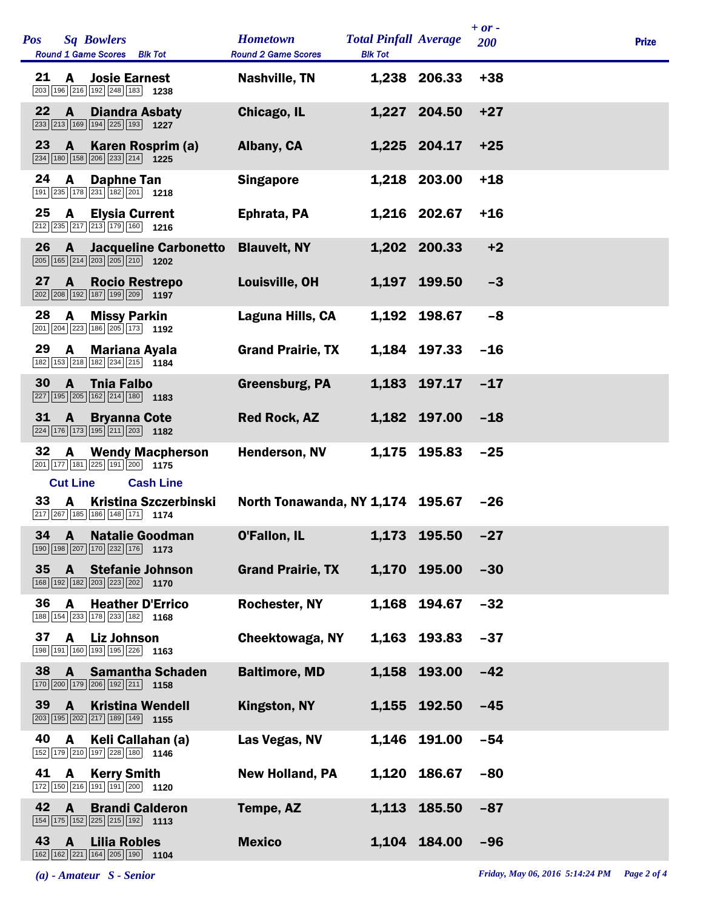| <b>Pos</b> |                      | <b>Sq Bowlers</b><br>Round 1 Game Scores Blk Tot                                                                          | <b>Hometown</b><br><b>Round 2 Game Scores</b> | <b>Total Pinfall Average</b><br><b>Blk Tot</b> |                  | $+ or -$<br>200 | <b>Prize</b> |
|------------|----------------------|---------------------------------------------------------------------------------------------------------------------------|-----------------------------------------------|------------------------------------------------|------------------|-----------------|--------------|
| 21         | A                    | <b>Josie Earnest</b><br>203 196 216 192 248 183 1238                                                                      | <b>Nashville, TN</b>                          |                                                | 1,238 206.33     | $+38$           |              |
| 22         | $\mathbf{A}$         | <b>Diandra Asbaty</b><br>233 213 169 194 225 193 1227                                                                     | Chicago, IL                                   |                                                | 1,227 204.50     | $+27$           |              |
| 23         | A                    | Karen Rosprim (a)<br>234 180 158 206 233 214 1225                                                                         | Albany, CA                                    |                                                | 1,225 204.17     | $+25$           |              |
| 24         | A                    | Daphne Tan<br>191 235 178 231 182 201 1218                                                                                | <b>Singapore</b>                              |                                                | 1,218 203.00     | $+18$           |              |
| 25         | A                    | <b>Elysia Current</b><br>$\boxed{212}\boxed{235}\boxed{217}\boxed{213}\boxed{179}\boxed{160}$ 1216                        | Ephrata, PA                                   |                                                | 1,216 202.67     | $+16$           |              |
| 26         | $\mathbf{A}$         | <b>Jacqueline Carbonetto</b><br>$\boxed{205}$ 165 214 203 205 210 1202                                                    | <b>Blauvelt, NY</b>                           |                                                | 1,202 200.33     | $+2$            |              |
| 27         | $\mathbf{A}$         | <b>Rocio Restrepo</b><br>202 208 192 187 199 209 1197                                                                     | Louisville, OH                                | 1,197                                          | 199.50           | $-3$            |              |
| 28         | $\mathbf{A}$         | <b>Missy Parkin</b><br>201 204 223 186 205 173 1192                                                                       | Laguna Hills, CA                              |                                                | 1,192 198.67     | $-8$            |              |
| 29         | A                    | <b>Mariana Ayala</b><br>182 153 218 182 234 215 1184                                                                      | <b>Grand Prairie, TX</b>                      |                                                | 1,184 197.33     | $-16$           |              |
| 30         | $\mathbf{A}$         | <b>Tnia Falbo</b><br>$\boxed{227}$ 195 205 162 214 180 1183                                                               | <b>Greensburg, PA</b>                         | 1,183                                          | 197.17           | $-17$           |              |
| 31         | $\mathbf{A}$         | <b>Bryanna Cote</b><br>224 176 173 195 211 203 1182                                                                       | <b>Red Rock, AZ</b>                           |                                                | 1,182 197.00     | $-18$           |              |
| 32         | A                    | <b>Wendy Macpherson</b><br>201 177 181 225 191 200 1175                                                                   | Henderson, NV                                 | 1,175                                          | 195.83           | $-25$           |              |
| 33         | <b>Cut Line</b><br>A | <b>Cash Line</b><br>Kristina Szczerbinski<br>217 267 185 186 148 171 174                                                  | North Tonawanda, NY 1,174 195.67              |                                                |                  | -26             |              |
|            |                      | 34 A Natalie Goodman<br>190 198 207 170 232 176 1173                                                                      | O'Fallon, IL                                  |                                                | 1,173 195.50 -27 |                 |              |
| 35         | $\mathbf{A}$         | <b>Stefanie Johnson</b><br>168 192 182 203 223 202 1170                                                                   | <b>Grand Prairie, TX</b>                      |                                                | 1,170 195.00     | $-30$           |              |
| 36         | A                    | <b>Heather D'Errico</b><br>188 154 233 178 233 182 168                                                                    | Rochester, NY                                 | 1,168                                          | 194.67           | $-32$           |              |
| 37         | $\mathbf{A}$         | <b>Liz Johnson</b><br>198 191 160 193 195 226 1163                                                                        | <b>Cheektowaga, NY</b>                        | 1,163                                          | 193.83           | $-37$           |              |
| 38         | A                    | <b>Samantha Schaden</b><br>170 200 179 206 192 211 158                                                                    | <b>Baltimore, MD</b>                          | 1,158                                          | 193.00           | $-42$           |              |
| 39         | $\mathbf{A}$         | <b>Kristina Wendell</b><br>203 195 202 217 189 149 1155                                                                   | Kingston, NY                                  | 1,155                                          | 192.50           | $-45$           |              |
| 40         | A                    | Keli Callahan (a)<br>152 179 210 197 228 180 1146                                                                         | Las Vegas, NV                                 | 1,146                                          | 191.00           | $-54$           |              |
| 41         | $\mathbf{A}$         | <b>Kerry Smith</b><br>172 150 216 191 191 200 1120                                                                        | <b>New Holland, PA</b>                        | 1,120                                          | 186.67           | $-80$           |              |
| 42         | $\mathbf{A}$         | <b>Brandi Calderon</b><br>$\boxed{154}$ $\boxed{175}$ $\boxed{152}$ $\boxed{225}$ $\boxed{215}$ $\boxed{192}$ <b>1113</b> | Tempe, AZ                                     | 1,113                                          | 185.50           | $-87$           |              |
| 43         | A                    | <b>Lilia Robles</b><br>162 162 221 164 205 190<br>1104                                                                    | <b>Mexico</b>                                 |                                                | 1,104 184.00     | $-96$           |              |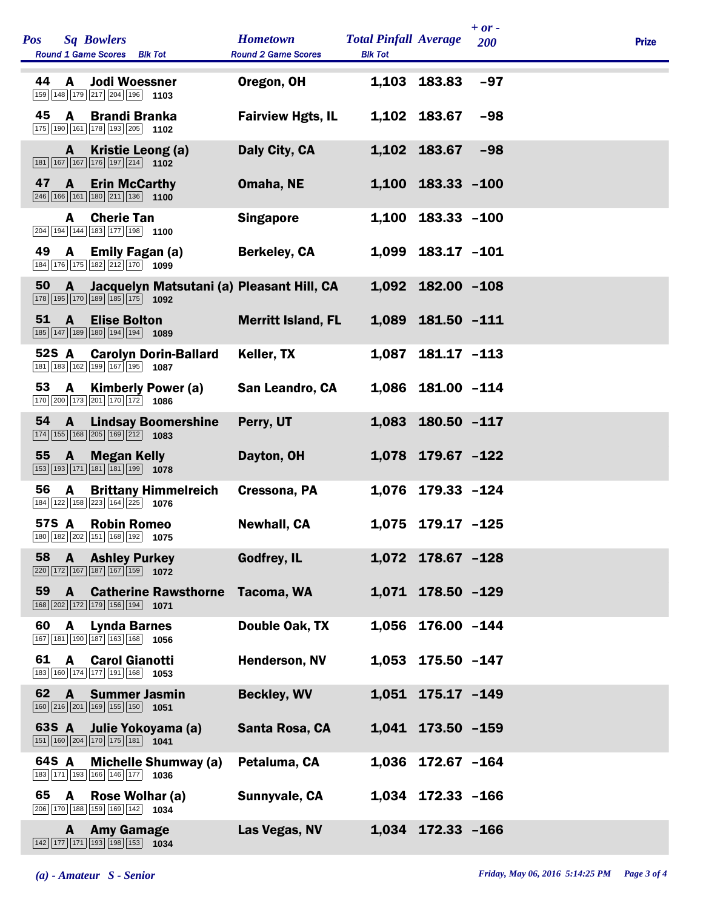| <b>Sq Bowlers</b><br><b>Pos</b><br>Round 1 Game Scores Blk Tot                                                                    |                              | <b>Hometown</b><br><b>Round 2 Game Scores</b> | <b>Total Pinfall Average</b><br><b>Blk Tot</b> |                   | $+ or -$<br>200 | <b>Prize</b> |
|-----------------------------------------------------------------------------------------------------------------------------------|------------------------------|-----------------------------------------------|------------------------------------------------|-------------------|-----------------|--------------|
| 44<br>A<br><b>Jodi Woessner</b><br>159 148 179 217 204 196 1103                                                                   |                              | Oregon, OH                                    |                                                | 1,103 183.83      | $-97$           |              |
| 45<br>A<br><b>Brandi Branka</b><br>175 190 161 178 193 205 1102                                                                   |                              | <b>Fairview Hgts, IL</b>                      |                                                | 1,102 183.67      | $-98$           |              |
| Kristie Leong (a)<br>A<br>$\boxed{181}$ $\boxed{167}$ $\boxed{167}$ $\boxed{176}$ $\boxed{197}$ $\boxed{214}$ <b>1102</b>         |                              | Daly City, CA                                 |                                                | 1,102 183.67      | $-98$           |              |
| 47<br>A<br><b>Erin McCarthy</b><br>$\boxed{246}$ 166 161 180 211 136 1100                                                         |                              | Omaha, NE                                     |                                                | 1,100 183.33 -100 |                 |              |
| <b>Cherie Tan</b><br>A<br>$\boxed{204}$ 194 144 183 177 198 1100                                                                  |                              | <b>Singapore</b>                              |                                                | 1,100 183.33 -100 |                 |              |
| 49<br>A<br><b>Emily Fagan (a)</b><br>$\boxed{184}\boxed{176}\boxed{175}\boxed{182}\boxed{212}\boxed{170}$ 1099                    |                              | <b>Berkeley, CA</b>                           |                                                | 1,099 183.17 -101 |                 |              |
| 50<br>$\mathbf{A}$<br>$\boxed{178}\boxed{195}\boxed{170}\boxed{189}\boxed{185}\boxed{175}$ 1092                                   |                              | Jacquelyn Matsutani (a) Pleasant Hill, CA     |                                                | 1,092 182.00 -108 |                 |              |
| 51<br>A<br><b>Elise Bolton</b><br>185 147 189 180 194 194 1089                                                                    |                              | <b>Merritt Island, FL</b>                     |                                                | 1,089 181.50 -111 |                 |              |
| 52S A<br>181 183 162 199 167 195 1087                                                                                             | <b>Carolyn Dorin-Ballard</b> | Keller, TX                                    |                                                | 1,087 181.17 -113 |                 |              |
| 53<br><b>Kimberly Power (a)</b><br>A<br>170 200 173 201 170 172 1086                                                              |                              | San Leandro, CA                               |                                                | 1,086 181.00 -114 |                 |              |
| 54<br>$\mathbf{A}$<br>174 155 168 205 169 212 1083                                                                                | <b>Lindsay Boomershine</b>   | Perry, UT                                     |                                                | 1,083 180.50 -117 |                 |              |
| 55 A<br><b>Megan Kelly</b><br>153 193 171 181 181 199 1078                                                                        |                              | Dayton, OH                                    |                                                | 1,078 179.67 -122 |                 |              |
| 56<br>A<br>184 122 158 223 164 225 1076                                                                                           | <b>Brittany Himmelreich</b>  | Cressona, PA                                  |                                                | 1,076 179.33 -124 |                 |              |
| 57S A Robin Romeo<br>180 182 202 151 168 192 1075                                                                                 |                              | <b>Newhall, CA</b>                            |                                                | 1,075 179.17 -125 |                 |              |
| 58<br>A<br><b>Ashley Purkey</b><br>$\boxed{220}\boxed{172}\boxed{167}\boxed{187}\boxed{167}\boxed{159}$ 1072                      |                              | <b>Godfrey, IL</b>                            |                                                | 1,072 178.67 -128 |                 |              |
| 59<br>A<br>168 202 172 179 156 194 1071                                                                                           | <b>Catherine Rawsthorne</b>  | Tacoma, WA                                    |                                                | 1,071 178.50 -129 |                 |              |
| 60<br>A<br><b>Lynda Barnes</b><br>167 181 190 187 163 168 1056                                                                    |                              | Double Oak, TX                                |                                                | 1,056 176.00 -144 |                 |              |
| 61<br>$\mathbf{A}$<br><b>Carol Gianotti</b><br>183 160 174 177 191 168 1053                                                       |                              | <b>Henderson, NV</b>                          |                                                | 1,053 175.50 -147 |                 |              |
| 62<br>$\mathbf{A}$<br><b>Summer Jasmin</b><br>160 216 201 169 155 150 1051                                                        |                              | <b>Beckley, WV</b>                            |                                                | 1,051 175.17 -149 |                 |              |
| 63S A<br>Julie Yokoyama (a)<br>$\boxed{151}$ $\boxed{160}$ $\boxed{204}$ $\boxed{170}$ $\boxed{175}$ $\boxed{181}$ $\boxed{1041}$ |                              | Santa Rosa, CA                                |                                                | 1,041 173.50 -159 |                 |              |
| 64S A<br>183 171 193 166 146 177 1036                                                                                             | <b>Michelle Shumway (a)</b>  | Petaluma, CA                                  |                                                | 1,036 172.67 -164 |                 |              |
| 65<br>A<br>Rose Wolhar (a)<br>206 170 188 159 169 142 1034                                                                        |                              | Sunnyvale, CA                                 |                                                | 1,034 172.33 -166 |                 |              |
| <b>Amy Gamage</b><br>A<br>$\boxed{142}\boxed{177}\boxed{171}\boxed{193}\boxed{198}\boxed{153}$ 1034                               |                              | Las Vegas, NV                                 |                                                | 1,034 172.33 -166 |                 |              |